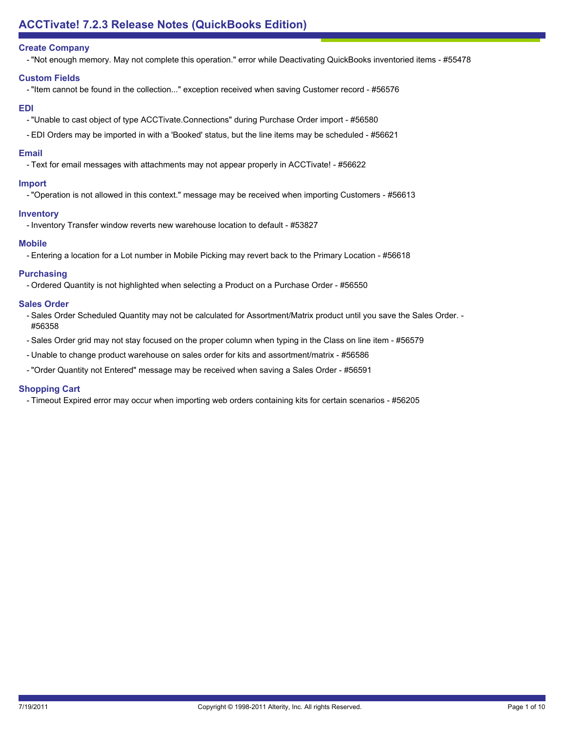## **Create Company**

- "Not enough memory. May not complete this operation." error while Deactivating QuickBooks inventoried items - #55478

## **Custom Fields**

- "Item cannot be found in the collection..." exception received when saving Customer record - #56576

#### **EDI**

- "Unable to cast object of type ACCTivate.Connections" during Purchase Order import #56580
- EDI Orders may be imported in with a 'Booked' status, but the line items may be scheduled #56621

#### **Email**

- Text for email messages with attachments may not appear properly in ACCTivate! - #56622

#### **Import**

- "Operation is not allowed in this context." message may be received when importing Customers - #56613

#### **Inventory**

- Inventory Transfer window reverts new warehouse location to default - #53827

#### **Mobile**

- Entering a location for a Lot number in Mobile Picking may revert back to the Primary Location - #56618

#### **Purchasing**

- Ordered Quantity is not highlighted when selecting a Product on a Purchase Order - #56550

#### **Sales Order**

- Sales Order Scheduled Quantity may not be calculated for Assortment/Matrix product until you save the Sales Order. -#56358
- Sales Order grid may not stay focused on the proper column when typing in the Class on line item #56579
- Unable to change product warehouse on sales order for kits and assortment/matrix #56586
- "Order Quantity not Entered" message may be received when saving a Sales Order #56591

#### **Shopping Cart**

- Timeout Expired error may occur when importing web orders containing kits for certain scenarios - #56205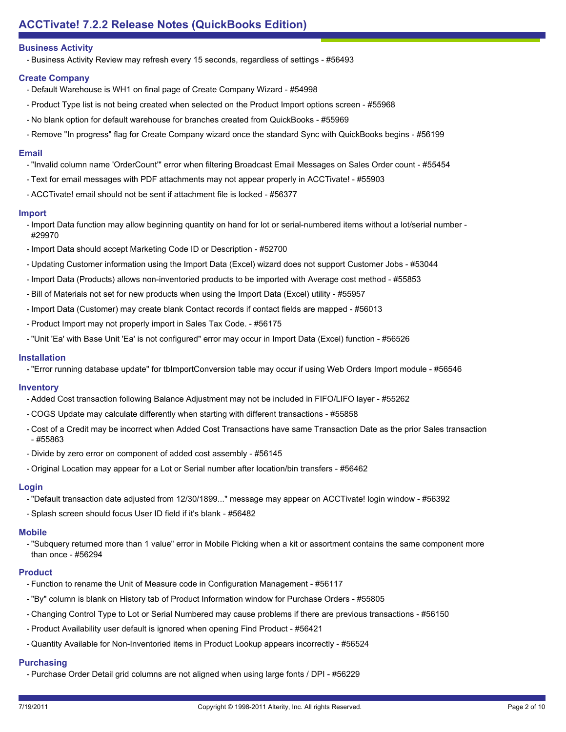## **Business Activity**

- Business Activity Review may refresh every 15 seconds, regardless of settings - #56493

## **Create Company**

- Default Warehouse is WH1 on final page of Create Company Wizard #54998
- Product Type list is not being created when selected on the Product Import options screen #55968
- No blank option for default warehouse for branches created from QuickBooks #55969
- Remove "In progress" flag for Create Company wizard once the standard Sync with QuickBooks begins #56199

## **Email**

- "Invalid column name 'OrderCount'" error when filtering Broadcast Email Messages on Sales Order count #55454
- Text for email messages with PDF attachments may not appear properly in ACCTivate! #55903
- ACCTivate! email should not be sent if attachment file is locked #56377

#### **Import**

- Import Data function may allow beginning quantity on hand for lot or serial-numbered items without a lot/serial number -#29970
- Import Data should accept Marketing Code ID or Description #52700
- Updating Customer information using the Import Data (Excel) wizard does not support Customer Jobs #53044
- Import Data (Products) allows non-inventoried products to be imported with Average cost method #55853
- Bill of Materials not set for new products when using the Import Data (Excel) utility #55957
- Import Data (Customer) may create blank Contact records if contact fields are mapped #56013
- Product Import may not properly import in Sales Tax Code. #56175
- "Unit 'Ea' with Base Unit 'Ea' is not configured" error may occur in Import Data (Excel) function #56526

## **Installation**

- "Error running database update" for tbImportConversion table may occur if using Web Orders Import module - #56546

#### **Inventory**

- Added Cost transaction following Balance Adjustment may not be included in FIFO/LIFO layer #55262
- COGS Update may calculate differently when starting with different transactions #55858
- Cost of a Credit may be incorrect when Added Cost Transactions have same Transaction Date as the prior Sales transaction - #55863
- Divide by zero error on component of added cost assembly #56145
- Original Location may appear for a Lot or Serial number after location/bin transfers #56462

# **Login**

- "Default transaction date adjusted from 12/30/1899..." message may appear on ACCTivate! login window #56392
- Splash screen should focus User ID field if it's blank #56482

## **Mobile**

- "Subquery returned more than 1 value" error in Mobile Picking when a kit or assortment contains the same component more than once - #56294

#### **Product**

- Function to rename the Unit of Measure code in Configuration Management #56117
- "By" column is blank on History tab of Product Information window for Purchase Orders #55805
- Changing Control Type to Lot or Serial Numbered may cause problems if there are previous transactions #56150
- Product Availability user default is ignored when opening Find Product #56421
- Quantity Available for Non-Inventoried items in Product Lookup appears incorrectly #56524

# **Purchasing**

- Purchase Order Detail grid columns are not aligned when using large fonts / DPI - #56229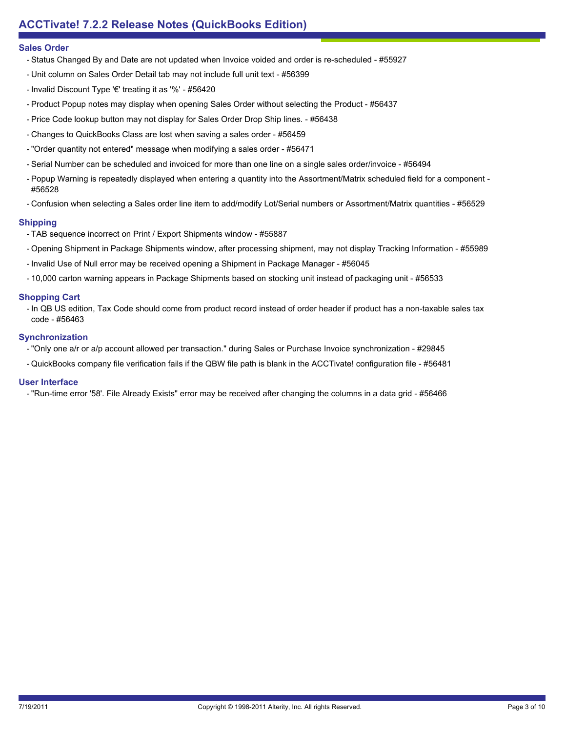## **Sales Order**

- Status Changed By and Date are not updated when Invoice voided and order is re-scheduled #55927
- Unit column on Sales Order Detail tab may not include full unit text #56399
- Invalid Discount Type '€' treating it as '%' #56420
- Product Popup notes may display when opening Sales Order without selecting the Product #56437
- Price Code lookup button may not display for Sales Order Drop Ship lines. #56438
- Changes to QuickBooks Class are lost when saving a sales order #56459
- "Order quantity not entered" message when modifying a sales order #56471
- Serial Number can be scheduled and invoiced for more than one line on a single sales order/invoice #56494
- Popup Warning is repeatedly displayed when entering a quantity into the Assortment/Matrix scheduled field for a component -#56528
- Confusion when selecting a Sales order line item to add/modify Lot/Serial numbers or Assortment/Matrix quantities #56529

## **Shipping**

- TAB sequence incorrect on Print / Export Shipments window #55887
- Opening Shipment in Package Shipments window, after processing shipment, may not display Tracking Information #55989
- Invalid Use of Null error may be received opening a Shipment in Package Manager #56045
- 10,000 carton warning appears in Package Shipments based on stocking unit instead of packaging unit #56533

## **Shopping Cart**

- In QB US edition, Tax Code should come from product record instead of order header if product has a non-taxable sales tax code - #56463

## **Synchronization**

- "Only one a/r or a/p account allowed per transaction." during Sales or Purchase Invoice synchronization #29845
- QuickBooks company file verification fails if the QBW file path is blank in the ACCTivate! configuration file #56481

#### **User Interface**

- "Run-time error '58'. File Already Exists" error may be received after changing the columns in a data grid - #56466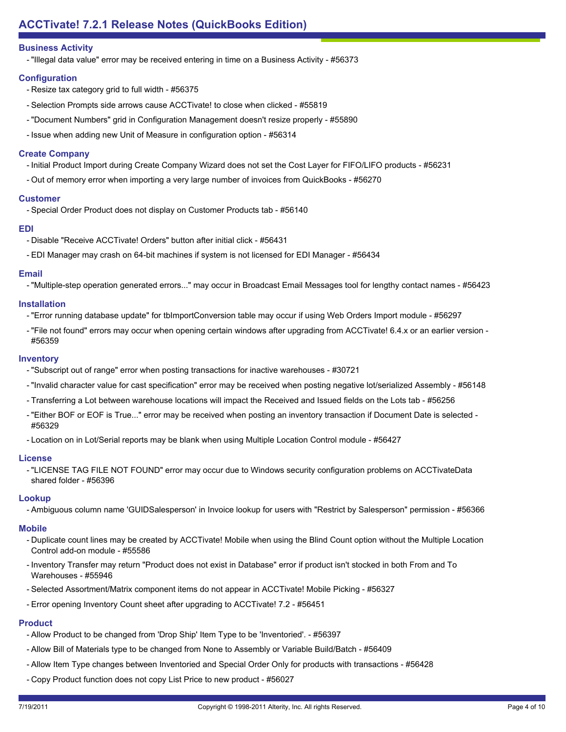## **Business Activity**

- "Illegal data value" error may be received entering in time on a Business Activity - #56373

## **Configuration**

- Resize tax category grid to full width #56375
- Selection Prompts side arrows cause ACCTivate! to close when clicked #55819
- "Document Numbers" grid in Configuration Management doesn't resize properly #55890
- Issue when adding new Unit of Measure in configuration option #56314

## **Create Company**

- Initial Product Import during Create Company Wizard does not set the Cost Layer for FIFO/LIFO products #56231
- Out of memory error when importing a very large number of invoices from QuickBooks #56270

#### **Customer**

- Special Order Product does not display on Customer Products tab - #56140

#### **EDI**

- Disable "Receive ACCTivate! Orders" button after initial click #56431
- EDI Manager may crash on 64-bit machines if system is not licensed for EDI Manager #56434

## **Email**

- "Multiple-step operation generated errors..." may occur in Broadcast Email Messages tool for lengthy contact names - #56423

## **Installation**

- "Error running database update" for tbImportConversion table may occur if using Web Orders Import module #56297
- "File not found" errors may occur when opening certain windows after upgrading from ACCTivate! 6.4.x or an earlier version -#56359

#### **Inventory**

- "Subscript out of range" error when posting transactions for inactive warehouses #30721
- "Invalid character value for cast specification" error may be received when posting negative lot/serialized Assembly #56148
- Transferring a Lot between warehouse locations will impact the Received and Issued fields on the Lots tab #56256
- "Either BOF or EOF is True..." error may be received when posting an inventory transaction if Document Date is selected -#56329
- Location on in Lot/Serial reports may be blank when using Multiple Location Control module #56427

#### **License**

- "LICENSE TAG FILE NOT FOUND" error may occur due to Windows security configuration problems on ACCTivateData shared folder - #56396

#### **Lookup**

- Ambiguous column name 'GUIDSalesperson' in Invoice lookup for users with "Restrict by Salesperson" permission - #56366

## **Mobile**

- Duplicate count lines may be created by ACCTivate! Mobile when using the Blind Count option without the Multiple Location Control add-on module - #55586
- Inventory Transfer may return "Product does not exist in Database" error if product isn't stocked in both From and To Warehouses - #55946
- Selected Assortment/Matrix component items do not appear in ACCTivate! Mobile Picking #56327
- Error opening Inventory Count sheet after upgrading to ACCTivate! 7.2 #56451

# **Product**

- Allow Product to be changed from 'Drop Ship' Item Type to be 'Inventoried'. #56397
- Allow Bill of Materials type to be changed from None to Assembly or Variable Build/Batch #56409
- Allow Item Type changes between Inventoried and Special Order Only for products with transactions #56428
- Copy Product function does not copy List Price to new product #56027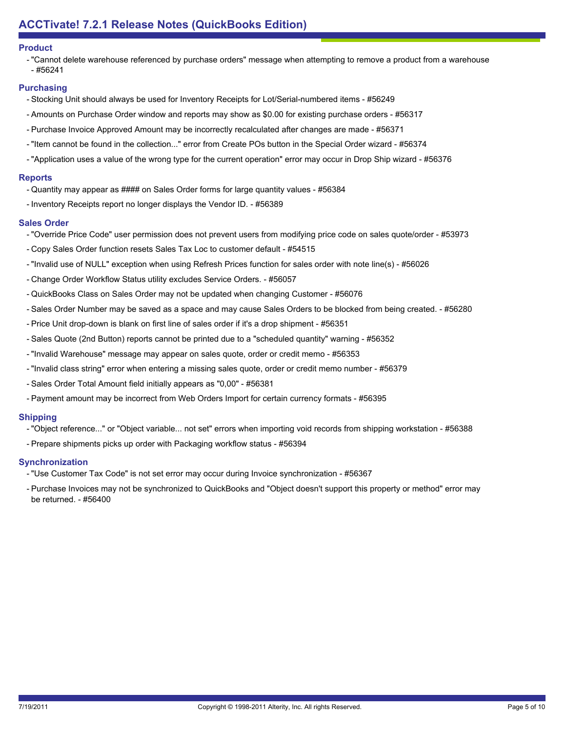## **Product**

- "Cannot delete warehouse referenced by purchase orders" message when attempting to remove a product from a warehouse
- #56241

## **Purchasing**

- Stocking Unit should always be used for Inventory Receipts for Lot/Serial-numbered items #56249
- Amounts on Purchase Order window and reports may show as \$0.00 for existing purchase orders #56317
- Purchase Invoice Approved Amount may be incorrectly recalculated after changes are made #56371
- "Item cannot be found in the collection..." error from Create POs button in the Special Order wizard #56374
- "Application uses a value of the wrong type for the current operation" error may occur in Drop Ship wizard #56376

## **Reports**

- Quantity may appear as #### on Sales Order forms for large quantity values #56384
- Inventory Receipts report no longer displays the Vendor ID. #56389

## **Sales Order**

- "Override Price Code" user permission does not prevent users from modifying price code on sales quote/order #53973
- Copy Sales Order function resets Sales Tax Loc to customer default #54515
- "Invalid use of NULL" exception when using Refresh Prices function for sales order with note line(s) #56026
- Change Order Workflow Status utility excludes Service Orders. #56057
- QuickBooks Class on Sales Order may not be updated when changing Customer #56076
- Sales Order Number may be saved as a space and may cause Sales Orders to be blocked from being created. #56280
- Price Unit drop-down is blank on first line of sales order if it's a drop shipment #56351
- Sales Quote (2nd Button) reports cannot be printed due to a "scheduled quantity" warning #56352
- "Invalid Warehouse" message may appear on sales quote, order or credit memo #56353
- "Invalid class string" error when entering a missing sales quote, order or credit memo number #56379
- Sales Order Total Amount field initially appears as "0,00" #56381
- Payment amount may be incorrect from Web Orders Import for certain currency formats #56395

## **Shipping**

- "Object reference..." or "Object variable... not set" errors when importing void records from shipping workstation #56388
- Prepare shipments picks up order with Packaging workflow status #56394

## **Synchronization**

- "Use Customer Tax Code" is not set error may occur during Invoice synchronization #56367
- Purchase Invoices may not be synchronized to QuickBooks and "Object doesn't support this property or method" error may be returned. - #56400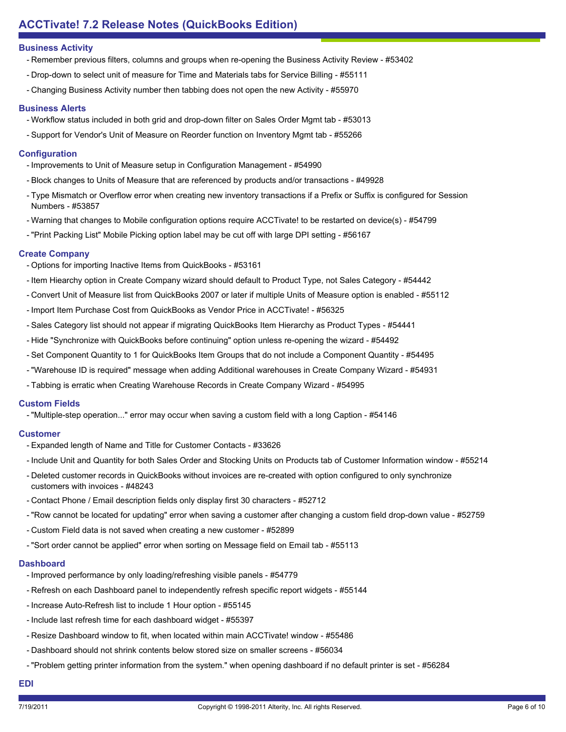## **Business Activity**

- Remember previous filters, columns and groups when re-opening the Business Activity Review #53402
- Drop-down to select unit of measure for Time and Materials tabs for Service Billing #55111
- Changing Business Activity number then tabbing does not open the new Activity #55970

## **Business Alerts**

- Workflow status included in both grid and drop-down filter on Sales Order Mgmt tab #53013
- Support for Vendor's Unit of Measure on Reorder function on Inventory Mgmt tab #55266

## **Configuration**

- Improvements to Unit of Measure setup in Configuration Management #54990
- Block changes to Units of Measure that are referenced by products and/or transactions #49928
- Type Mismatch or Overflow error when creating new inventory transactions if a Prefix or Suffix is configured for Session Numbers - #53857
- Warning that changes to Mobile configuration options require ACCTivate! to be restarted on device(s) #54799
- "Print Packing List" Mobile Picking option label may be cut off with large DPI setting #56167

## **Create Company**

- Options for importing Inactive Items from QuickBooks #53161
- Item Hiearchy option in Create Company wizard should default to Product Type, not Sales Category #54442
- Convert Unit of Measure list from QuickBooks 2007 or later if multiple Units of Measure option is enabled #55112
- Import Item Purchase Cost from QuickBooks as Vendor Price in ACCTivate! #56325
- Sales Category list should not appear if migrating QuickBooks Item Hierarchy as Product Types #54441
- Hide "Synchronize with QuickBooks before continuing" option unless re-opening the wizard #54492
- Set Component Quantity to 1 for QuickBooks Item Groups that do not include a Component Quantity #54495
- "Warehouse ID is required" message when adding Additional warehouses in Create Company Wizard #54931
- Tabbing is erratic when Creating Warehouse Records in Create Company Wizard #54995

## **Custom Fields**

- "Multiple-step operation..." error may occur when saving a custom field with a long Caption - #54146

## **Customer**

- Expanded length of Name and Title for Customer Contacts #33626
- Include Unit and Quantity for both Sales Order and Stocking Units on Products tab of Customer Information window #55214
- Deleted customer records in QuickBooks without invoices are re-created with option configured to only synchronize customers with invoices - #48243
- Contact Phone / Email description fields only display first 30 characters #52712
- "Row cannot be located for updating" error when saving a customer after changing a custom field drop-down value #52759
- Custom Field data is not saved when creating a new customer #52899
- "Sort order cannot be applied" error when sorting on Message field on Email tab #55113

#### **Dashboard**

- Improved performance by only loading/refreshing visible panels #54779
- Refresh on each Dashboard panel to independently refresh specific report widgets #55144
- Increase Auto-Refresh list to include 1 Hour option #55145
- Include last refresh time for each dashboard widget #55397
- Resize Dashboard window to fit, when located within main ACCTivate! window #55486
- Dashboard should not shrink contents below stored size on smaller screens #56034
- "Problem getting printer information from the system." when opening dashboard if no default printer is set #56284

## **EDI**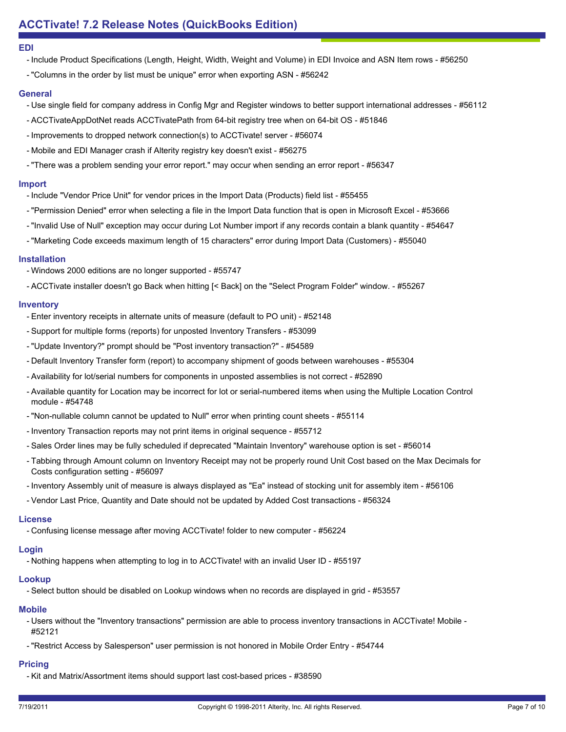#### **EDI**

- Include Product Specifications (Length, Height, Width, Weight and Volume) in EDI Invoice and ASN Item rows #56250
- "Columns in the order by list must be unique" error when exporting ASN #56242

#### **General**

- Use single field for company address in Config Mgr and Register windows to better support international addresses #56112
- ACCTivateAppDotNet reads ACCTivatePath from 64-bit registry tree when on 64-bit OS #51846
- Improvements to dropped network connection(s) to ACCTivate! server #56074
- Mobile and EDI Manager crash if Alterity registry key doesn't exist #56275
- "There was a problem sending your error report." may occur when sending an error report #56347

#### **Import**

- Include "Vendor Price Unit" for vendor prices in the Import Data (Products) field list #55455
- "Permission Denied" error when selecting a file in the Import Data function that is open in Microsoft Excel #53666
- "Invalid Use of Null" exception may occur during Lot Number import if any records contain a blank quantity #54647
- "Marketing Code exceeds maximum length of 15 characters" error during Import Data (Customers) #55040

## **Installation**

- Windows 2000 editions are no longer supported #55747
- ACCTivate installer doesn't go Back when hitting [< Back] on the "Select Program Folder" window. #55267

## **Inventory**

- Enter inventory receipts in alternate units of measure (default to PO unit) #52148
- Support for multiple forms (reports) for unposted Inventory Transfers #53099
- "Update Inventory?" prompt should be "Post inventory transaction?" #54589
- Default Inventory Transfer form (report) to accompany shipment of goods between warehouses #55304
- Availability for lot/serial numbers for components in unposted assemblies is not correct #52890
- Available quantity for Location may be incorrect for lot or serial-numbered items when using the Multiple Location Control module - #54748
- "Non-nullable column cannot be updated to Null" error when printing count sheets #55114
- Inventory Transaction reports may not print items in original sequence #55712
- Sales Order lines may be fully scheduled if deprecated "Maintain Inventory" warehouse option is set #56014
- Tabbing through Amount column on Inventory Receipt may not be properly round Unit Cost based on the Max Decimals for Costs configuration setting - #56097
- Inventory Assembly unit of measure is always displayed as "Ea" instead of stocking unit for assembly item #56106
- Vendor Last Price, Quantity and Date should not be updated by Added Cost transactions #56324

#### **License**

- Confusing license message after moving ACCTivate! folder to new computer - #56224

## **Login**

- Nothing happens when attempting to log in to ACCTivate! with an invalid User ID - #55197

## **Lookup**

- Select button should be disabled on Lookup windows when no records are displayed in grid - #53557

## **Mobile**

- Users without the "Inventory transactions" permission are able to process inventory transactions in ACCTivate! Mobile -#52121
- "Restrict Access by Salesperson" user permission is not honored in Mobile Order Entry #54744

# **Pricing**

- Kit and Matrix/Assortment items should support last cost-based prices - #38590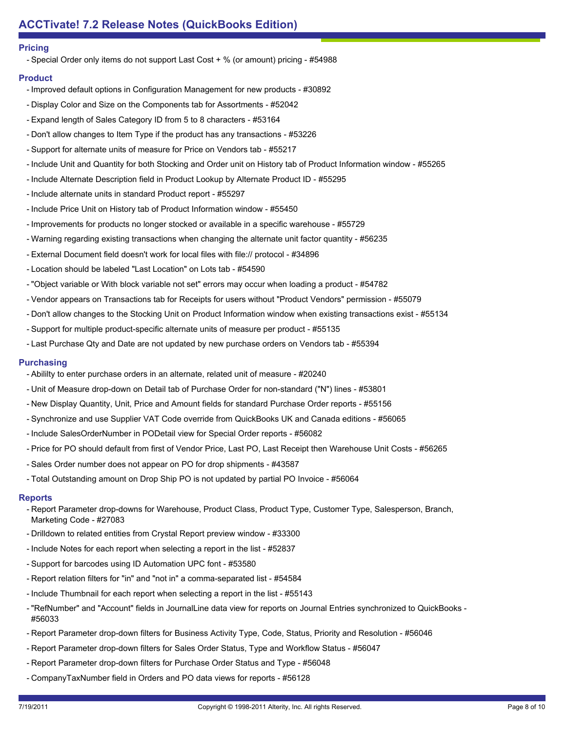## **Pricing**

- Special Order only items do not support Last Cost + % (or amount) pricing - #54988

## **Product**

- Improved default options in Configuration Management for new products #30892
- Display Color and Size on the Components tab for Assortments #52042
- Expand length of Sales Category ID from 5 to 8 characters #53164
- Don't allow changes to Item Type if the product has any transactions #53226
- Support for alternate units of measure for Price on Vendors tab #55217
- Include Unit and Quantity for both Stocking and Order unit on History tab of Product Information window #55265
- Include Alternate Description field in Product Lookup by Alternate Product ID #55295
- Include alternate units in standard Product report #55297
- Include Price Unit on History tab of Product Information window #55450
- Improvements for products no longer stocked or available in a specific warehouse #55729
- Warning regarding existing transactions when changing the alternate unit factor quantity #56235
- External Document field doesn't work for local files with file:// protocol #34896
- Location should be labeled "Last Location" on Lots tab #54590
- "Object variable or With block variable not set" errors may occur when loading a product #54782
- Vendor appears on Transactions tab for Receipts for users without "Product Vendors" permission #55079
- Don't allow changes to the Stocking Unit on Product Information window when existing transactions exist #55134
- Support for multiple product-specific alternate units of measure per product #55135
- Last Purchase Qty and Date are not updated by new purchase orders on Vendors tab #55394

## **Purchasing**

- Abililty to enter purchase orders in an alternate, related unit of measure #20240
- Unit of Measure drop-down on Detail tab of Purchase Order for non-standard ("N") lines #53801
- New Display Quantity, Unit, Price and Amount fields for standard Purchase Order reports #55156
- Synchronize and use Supplier VAT Code override from QuickBooks UK and Canada editions #56065
- Include SalesOrderNumber in PODetail view for Special Order reports #56082
- Price for PO should default from first of Vendor Price, Last PO, Last Receipt then Warehouse Unit Costs #56265
- Sales Order number does not appear on PO for drop shipments #43587
- Total Outstanding amount on Drop Ship PO is not updated by partial PO Invoice #56064

#### **Reports**

- Report Parameter drop-downs for Warehouse, Product Class, Product Type, Customer Type, Salesperson, Branch, Marketing Code - #27083
- Drilldown to related entities from Crystal Report preview window #33300
- Include Notes for each report when selecting a report in the list #52837
- Support for barcodes using ID Automation UPC font #53580
- Report relation filters for "in" and "not in" a comma-separated list #54584
- Include Thumbnail for each report when selecting a report in the list #55143
- "RefNumber" and "Account" fields in JournalLine data view for reports on Journal Entries synchronized to QuickBooks -#56033
- Report Parameter drop-down filters for Business Activity Type, Code, Status, Priority and Resolution #56046
- Report Parameter drop-down filters for Sales Order Status, Type and Workflow Status #56047
- Report Parameter drop-down filters for Purchase Order Status and Type #56048
- CompanyTaxNumber field in Orders and PO data views for reports #56128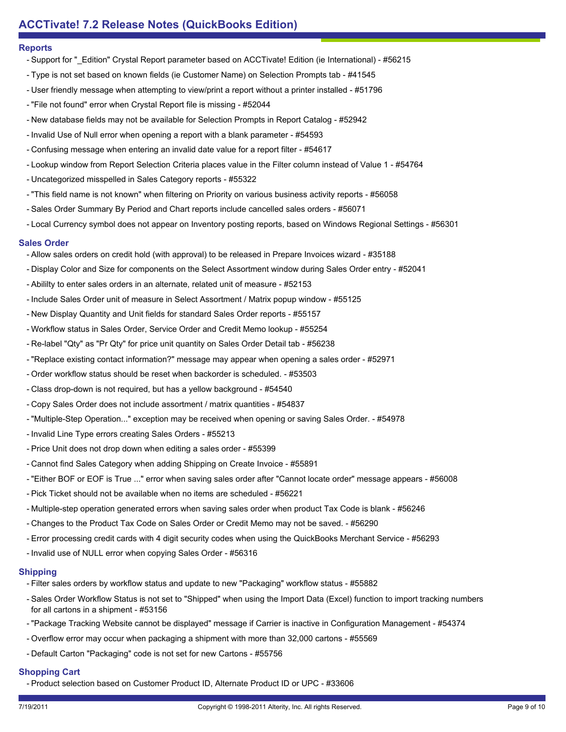#### **Reports**

- Support for "\_Edition" Crystal Report parameter based on ACCTivate! Edition (ie International) #56215
- Type is not set based on known fields (ie Customer Name) on Selection Prompts tab #41545
- User friendly message when attempting to view/print a report without a printer installed #51796
- "File not found" error when Crystal Report file is missing #52044
- New database fields may not be available for Selection Prompts in Report Catalog #52942
- Invalid Use of Null error when opening a report with a blank parameter #54593
- Confusing message when entering an invalid date value for a report filter #54617
- Lookup window from Report Selection Criteria places value in the Filter column instead of Value 1 #54764
- Uncategorized misspelled in Sales Category reports #55322
- "This field name is not known" when filtering on Priority on various business activity reports #56058
- Sales Order Summary By Period and Chart reports include cancelled sales orders #56071
- Local Currency symbol does not appear on Inventory posting reports, based on Windows Regional Settings #56301

#### **Sales Order**

- Allow sales orders on credit hold (with approval) to be released in Prepare Invoices wizard #35188
- Display Color and Size for components on the Select Assortment window during Sales Order entry #52041
- Abililty to enter sales orders in an alternate, related unit of measure #52153
- Include Sales Order unit of measure in Select Assortment / Matrix popup window #55125
- New Display Quantity and Unit fields for standard Sales Order reports #55157
- Workflow status in Sales Order, Service Order and Credit Memo lookup #55254
- Re-label "Qty" as "Pr Qty" for price unit quantity on Sales Order Detail tab #56238
- "Replace existing contact information?" message may appear when opening a sales order #52971
- Order workflow status should be reset when backorder is scheduled. #53503
- Class drop-down is not required, but has a yellow background #54540
- Copy Sales Order does not include assortment / matrix quantities #54837
- "Multiple-Step Operation..." exception may be received when opening or saving Sales Order. #54978
- Invalid Line Type errors creating Sales Orders #55213
- Price Unit does not drop down when editing a sales order #55399
- Cannot find Sales Category when adding Shipping on Create Invoice #55891
- "Either BOF or EOF is True ..." error when saving sales order after "Cannot locate order" message appears #56008
- Pick Ticket should not be available when no items are scheduled #56221
- Multiple-step operation generated errors when saving sales order when product Tax Code is blank #56246
- Changes to the Product Tax Code on Sales Order or Credit Memo may not be saved. #56290
- Error processing credit cards with 4 digit security codes when using the QuickBooks Merchant Service #56293
- Invalid use of NULL error when copying Sales Order #56316

#### **Shipping**

- Filter sales orders by workflow status and update to new "Packaging" workflow status #55882
- Sales Order Workflow Status is not set to "Shipped" when using the Import Data (Excel) function to import tracking numbers for all cartons in a shipment - #53156
- "Package Tracking Website cannot be displayed" message if Carrier is inactive in Configuration Management #54374
- Overflow error may occur when packaging a shipment with more than 32,000 cartons #55569
- Default Carton "Packaging" code is not set for new Cartons #55756

#### **Shopping Cart**

- Product selection based on Customer Product ID, Alternate Product ID or UPC - #33606